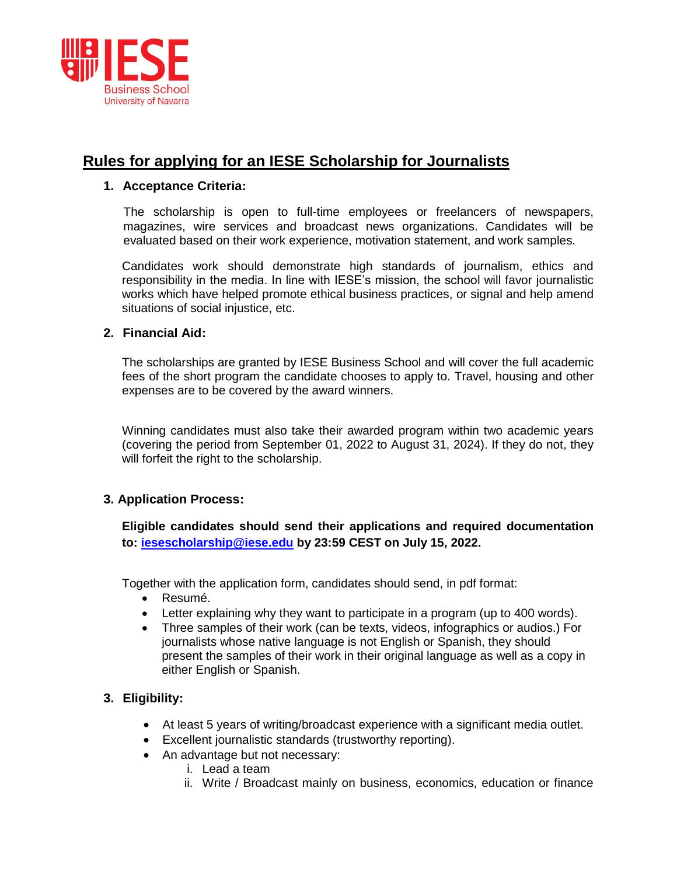

# **Rules for applying for an IESE Scholarship for Journalists**

### **1. Acceptance Criteria:**

The scholarship is open to full-time employees or freelancers of newspapers, magazines, wire services and broadcast news organizations. Candidates will be evaluated based on their work experience, motivation statement, and work samples.

Candidates work should demonstrate high standards of journalism, ethics and responsibility in the media. In line with IESE's mission, the school will favor journalistic works which have helped promote ethical business practices, or signal and help amend situations of social injustice, etc.

### **2. Financial Aid:**

The scholarships are granted by IESE Business School and will cover the full academic fees of the short program the candidate chooses to apply to. Travel, housing and other expenses are to be covered by the award winners.

Winning candidates must also take their awarded program within two academic years (covering the period from September 01, 2022 to August 31, 2024). If they do not, they will forfeit the right to the scholarship.

## **3. Application Process:**

**Eligible candidates should send their applications and required documentation to: [iesescholarship@iese.edu](mailto:iesescholarship@iese.edu) by 23:59 CEST on July 15, 2022.**

Together with the application form, candidates should send, in pdf format:

- Resumé.
- Letter explaining why they want to participate in a program (up to 400 words).
- Three samples of their work (can be texts, videos, infographics or audios.) For journalists whose native language is not English or Spanish, they should present the samples of their work in their original language as well as a copy in either English or Spanish.

## **3. Eligibility:**

- At least 5 years of writing/broadcast experience with a significant media outlet.
- Excellent journalistic standards (trustworthy reporting).
- An advantage but not necessary:
	- i. Lead a team
	- ii. Write / Broadcast mainly on business, economics, education or finance